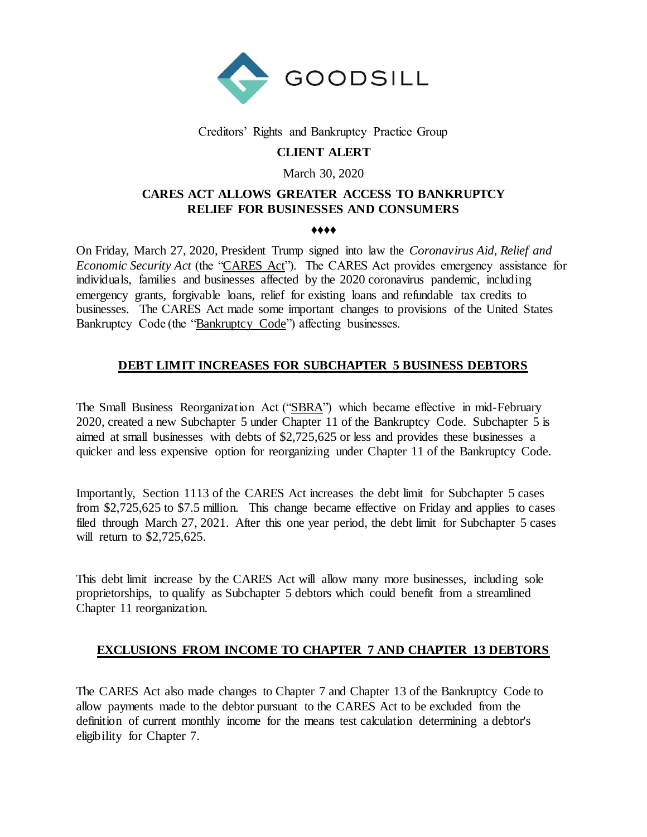

## Creditors' Rights and Bankruptcy Practice Group

# **CLIENT ALERT**

### March 30, 2020

# **CARES ACT ALLOWS GREATER ACCESS TO BANKRUPTCY RELIEF FOR BUSINESSES AND CONSUMERS**

#### ♦♦♦♦

On Friday, March 27, 2020, President Trump signed into law the *Coronavirus Aid, Relief and Economic Security Act* (the "CARES Act"). The CARES Act provides emergency assistance for individuals, families and businesses affected by the 2020 coronavirus pandemic, including emergency grants, forgivable loans, relief for existing loans and refundable tax credits to businesses. The CARES Act made some important changes to provisions of the United States Bankruptcy Code (the "Bankruptcy Code") affecting businesses.

# **DEBT LIMIT INCREASES FOR SUBCHAPTER 5 BUSINESS DEBTORS**

The Small Business Reorganization Act ("SBRA") which became effective in mid-February 2020, created a new Subchapter 5 under Chapter 11 of the Bankruptcy Code. Subchapter 5 is aimed at small businesses with debts of \$2,725,625 or less and provides these businesses a quicker and less expensive option for reorganizing under Chapter 11 of the Bankruptcy Code.

Importantly, Section 1113 of the CARES Act increases the debt limit for Subchapter 5 cases from \$2,725,625 to \$7.5 million. This change became effective on Friday and applies to cases filed through March 27, 2021. After this one year period, the debt limit for Subchapter 5 cases will return to \$2,725,625.

This debt limit increase by the CARES Act will allow many more businesses, including sole proprietorships, to qualify as Subchapter 5 debtors which could benefit from a streamlined Chapter 11 reorganization.

# **EXCLUSIONS FROM INCOME TO CHAPTER 7 AND CHAPTER 13 DEBTORS**

The CARES Act also made changes to Chapter 7 and Chapter 13 of the Bankruptcy Code to allow payments made to the debtor pursuant to the CARES Act to be excluded from the definition of current monthly income for the means test calculation determining a debtor's eligibility for Chapter 7.